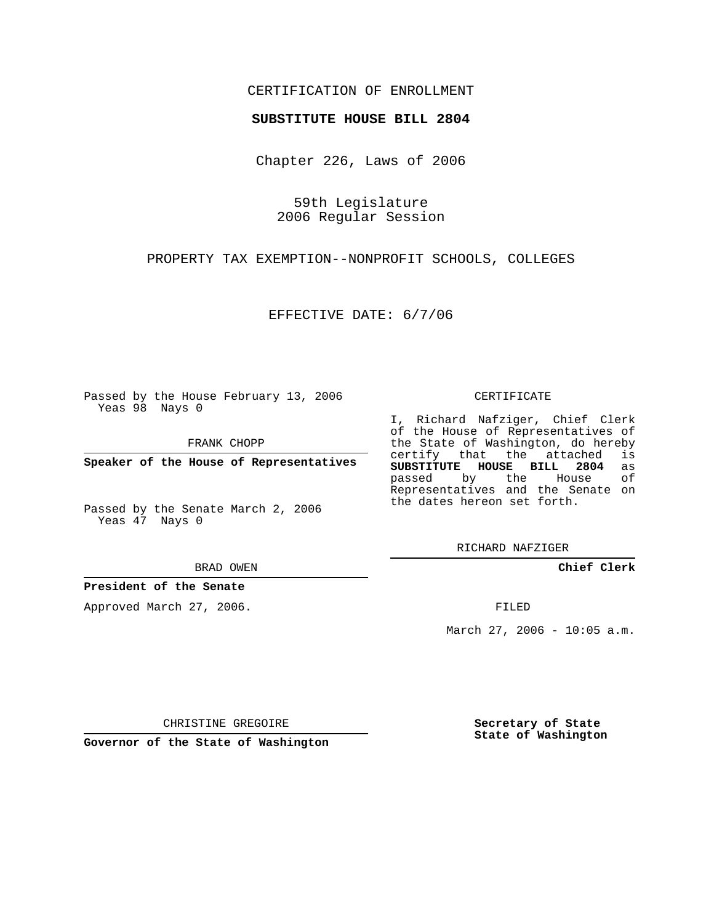# CERTIFICATION OF ENROLLMENT

## **SUBSTITUTE HOUSE BILL 2804**

Chapter 226, Laws of 2006

59th Legislature 2006 Regular Session

PROPERTY TAX EXEMPTION--NONPROFIT SCHOOLS, COLLEGES

EFFECTIVE DATE: 6/7/06

Passed by the House February 13, 2006 Yeas 98 Nays 0

FRANK CHOPP

**Speaker of the House of Representatives**

Passed by the Senate March 2, 2006 Yeas 47 Nays 0

BRAD OWEN

### **President of the Senate**

Approved March 27, 2006.

#### CERTIFICATE

I, Richard Nafziger, Chief Clerk of the House of Representatives of the State of Washington, do hereby<br>certify that the attached is certify that the attached **SUBSTITUTE HOUSE BILL 2804** as passed by the House Representatives and the Senate on the dates hereon set forth.

RICHARD NAFZIGER

**Chief Clerk**

FILED

March 27, 2006 - 10:05 a.m.

CHRISTINE GREGOIRE

**Governor of the State of Washington**

**Secretary of State State of Washington**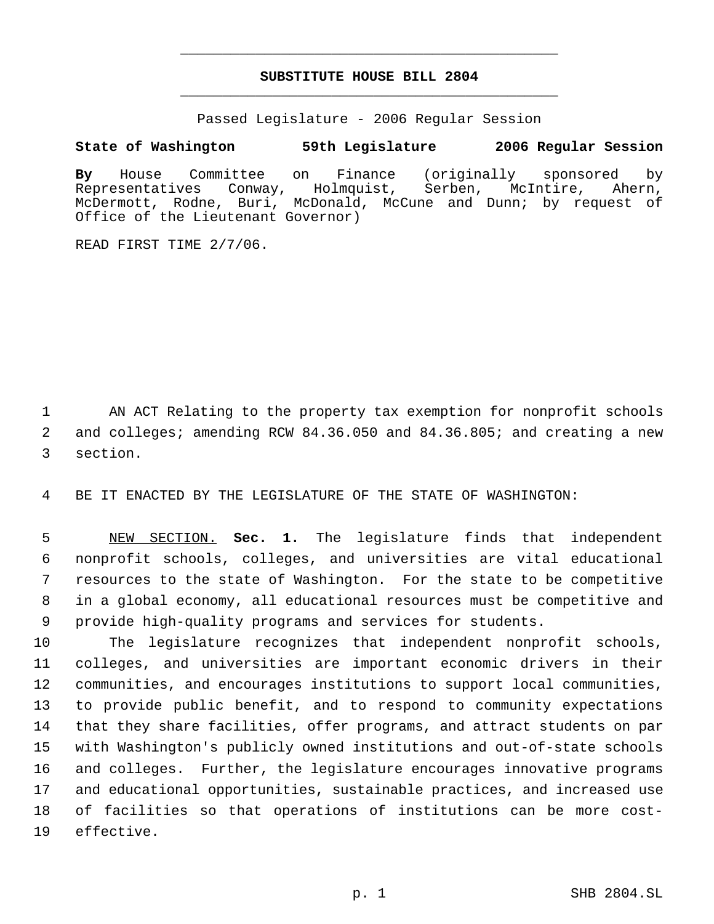# **SUBSTITUTE HOUSE BILL 2804** \_\_\_\_\_\_\_\_\_\_\_\_\_\_\_\_\_\_\_\_\_\_\_\_\_\_\_\_\_\_\_\_\_\_\_\_\_\_\_\_\_\_\_\_\_

\_\_\_\_\_\_\_\_\_\_\_\_\_\_\_\_\_\_\_\_\_\_\_\_\_\_\_\_\_\_\_\_\_\_\_\_\_\_\_\_\_\_\_\_\_

Passed Legislature - 2006 Regular Session

# **State of Washington 59th Legislature 2006 Regular Session**

**By** House Committee on Finance (originally sponsored by Representatives Conway, Holmquist, Serben, McIntire, Ahern, McDermott, Rodne, Buri, McDonald, McCune and Dunn; by request of Office of the Lieutenant Governor)

READ FIRST TIME 2/7/06.

 AN ACT Relating to the property tax exemption for nonprofit schools and colleges; amending RCW 84.36.050 and 84.36.805; and creating a new section.

BE IT ENACTED BY THE LEGISLATURE OF THE STATE OF WASHINGTON:

 NEW SECTION. **Sec. 1.** The legislature finds that independent nonprofit schools, colleges, and universities are vital educational resources to the state of Washington. For the state to be competitive in a global economy, all educational resources must be competitive and provide high-quality programs and services for students.

 The legislature recognizes that independent nonprofit schools, colleges, and universities are important economic drivers in their communities, and encourages institutions to support local communities, to provide public benefit, and to respond to community expectations that they share facilities, offer programs, and attract students on par with Washington's publicly owned institutions and out-of-state schools and colleges. Further, the legislature encourages innovative programs and educational opportunities, sustainable practices, and increased use of facilities so that operations of institutions can be more cost-effective.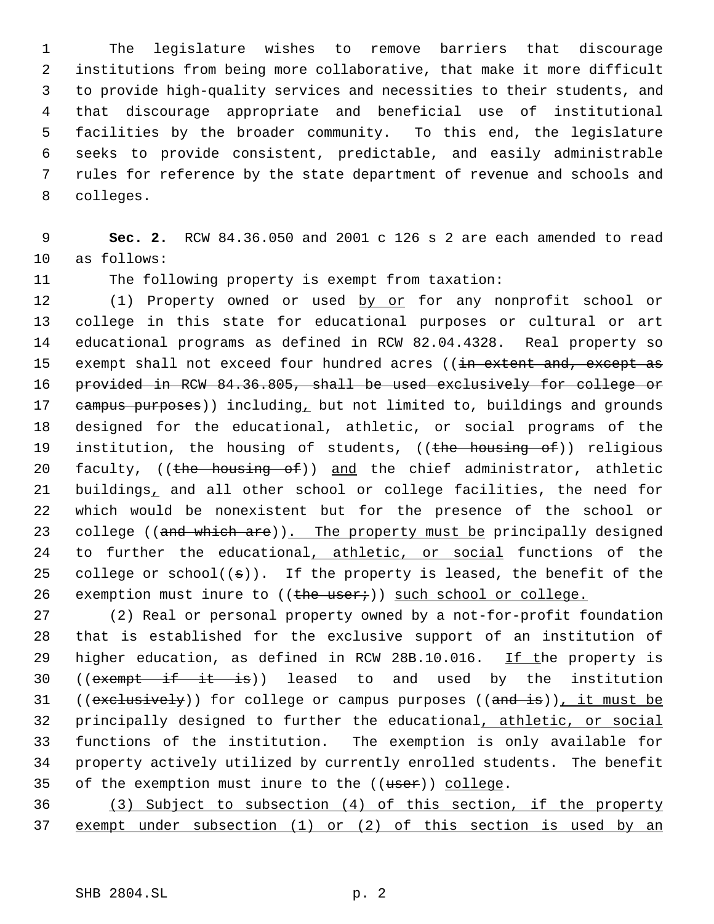The legislature wishes to remove barriers that discourage institutions from being more collaborative, that make it more difficult to provide high-quality services and necessities to their students, and that discourage appropriate and beneficial use of institutional facilities by the broader community. To this end, the legislature seeks to provide consistent, predictable, and easily administrable rules for reference by the state department of revenue and schools and colleges.

 **Sec. 2.** RCW 84.36.050 and 2001 c 126 s 2 are each amended to read as follows:

The following property is exempt from taxation:

12 (1) Property owned or used by or for any nonprofit school or college in this state for educational purposes or cultural or art educational programs as defined in RCW 82.04.4328. Real property so 15 exempt shall not exceed four hundred acres ((in extent and, except as provided in RCW 84.36.805, shall be used exclusively for college or 17 eampus purposes)) including, but not limited to, buildings and grounds designed for the educational, athletic, or social programs of the 19 institution, the housing of students, ((the housing of)) religious 20 faculty, ((the housing of)) and the chief administrator, athletic buildings, and all other school or college facilities, the need for which would be nonexistent but for the presence of the school or 23 college ((and which are)). The property must be principally designed to further the educational, athletic, or social functions of the 25 college or  $school((\sigma))$ . If the property is leased, the benefit of the 26 exemption must inure to  $((the user))$  such school or college.

 (2) Real or personal property owned by a not-for-profit foundation that is established for the exclusive support of an institution of 29 higher education, as defined in RCW 28B.10.016. If the property is 30 ((exempt if it is)) leased to and used by the institution 31 ((exclusively)) for college or campus purposes ((and is)), it must be principally designed to further the educational, athletic, or social functions of the institution. The exemption is only available for property actively utilized by currently enrolled students. The benefit 35 of the exemption must inure to the ((user)) college.

 (3) Subject to subsection (4) of this section, if the property exempt under subsection (1) or (2) of this section is used by an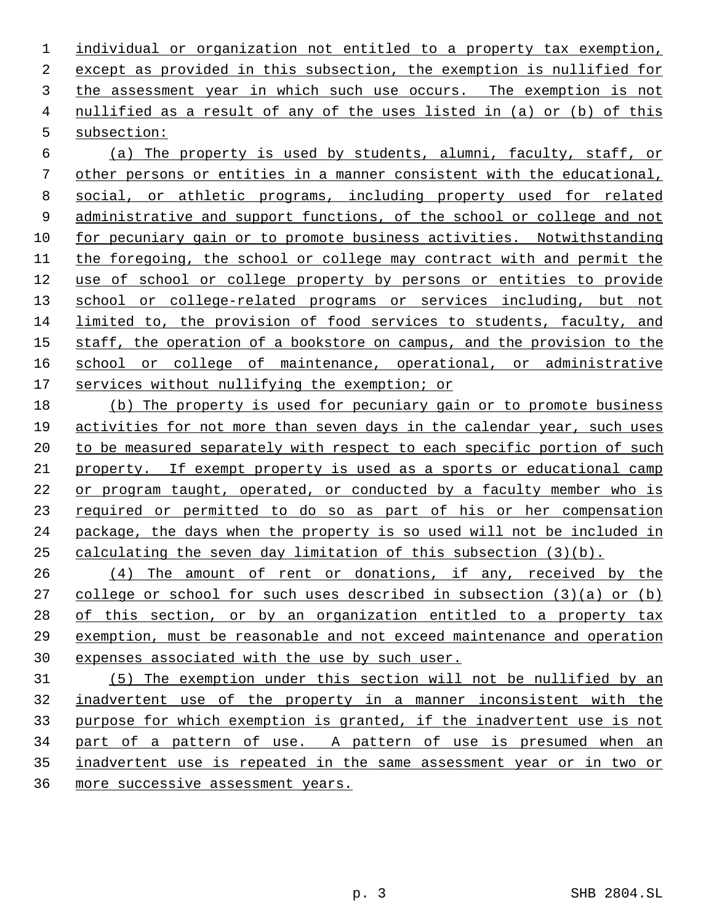individual or organization not entitled to a property tax exemption, except as provided in this subsection, the exemption is nullified for 3 the assessment year in which such use occurs. The exemption is not nullified as a result of any of the uses listed in (a) or (b) of this subsection:

 (a) The property is used by students, alumni, faculty, staff, or other persons or entities in a manner consistent with the educational, social, or athletic programs, including property used for related 9 administrative and support functions, of the school or college and not 10 for pecuniary gain or to promote business activities. Notwithstanding the foregoing, the school or college may contract with and permit the use of school or college property by persons or entities to provide 13 school or college-related programs or services including, but not limited to, the provision of food services to students, faculty, and staff, the operation of a bookstore on campus, and the provision to the 16 school or college of maintenance, operational, or administrative services without nullifying the exemption; or

 (b) The property is used for pecuniary gain or to promote business activities for not more than seven days in the calendar year, such uses 20 to be measured separately with respect to each specific portion of such property. If exempt property is used as a sports or educational camp or program taught, operated, or conducted by a faculty member who is required or permitted to do so as part of his or her compensation package, the days when the property is so used will not be included in calculating the seven day limitation of this subsection (3)(b).

26 (4) The amount of rent or donations, if any, received by the college or school for such uses described in subsection (3)(a) or (b) 28 of this section, or by an organization entitled to a property tax exemption, must be reasonable and not exceed maintenance and operation expenses associated with the use by such user.

 (5) The exemption under this section will not be nullified by an inadvertent use of the property in a manner inconsistent with the purpose for which exemption is granted, if the inadvertent use is not 34 part of a pattern of use. A pattern of use is presumed when an inadvertent use is repeated in the same assessment year or in two or more successive assessment years.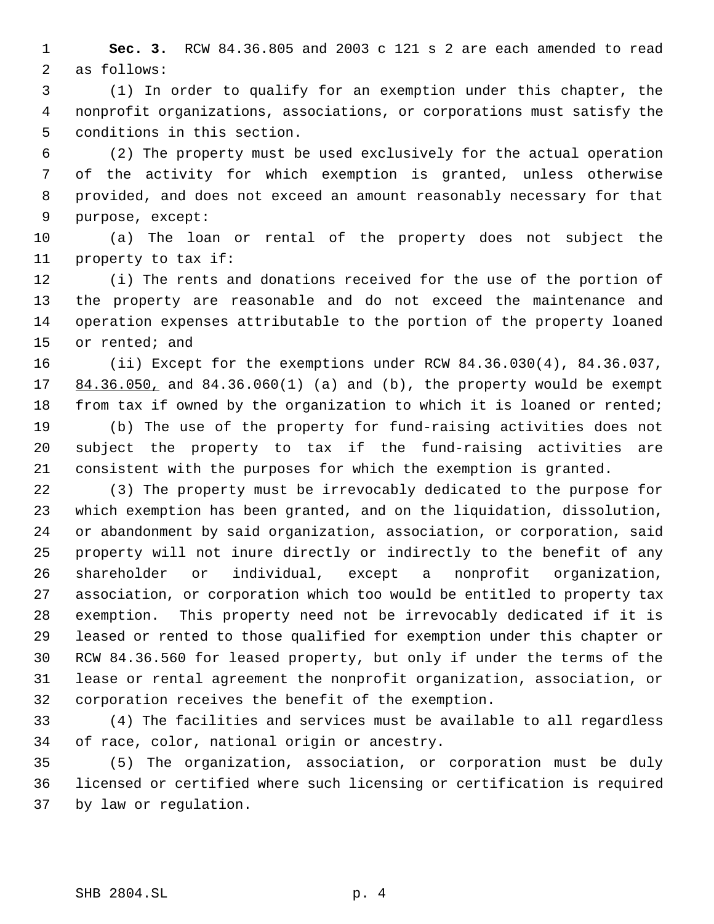**Sec. 3.** RCW 84.36.805 and 2003 c 121 s 2 are each amended to read as follows:

 (1) In order to qualify for an exemption under this chapter, the nonprofit organizations, associations, or corporations must satisfy the conditions in this section.

 (2) The property must be used exclusively for the actual operation of the activity for which exemption is granted, unless otherwise provided, and does not exceed an amount reasonably necessary for that purpose, except:

 (a) The loan or rental of the property does not subject the property to tax if:

 (i) The rents and donations received for the use of the portion of the property are reasonable and do not exceed the maintenance and operation expenses attributable to the portion of the property loaned or rented; and

 (ii) Except for the exemptions under RCW 84.36.030(4), 84.36.037, 17 84.36.050, and 84.36.060(1) (a) and (b), the property would be exempt from tax if owned by the organization to which it is loaned or rented;

 (b) The use of the property for fund-raising activities does not subject the property to tax if the fund-raising activities are consistent with the purposes for which the exemption is granted.

 (3) The property must be irrevocably dedicated to the purpose for which exemption has been granted, and on the liquidation, dissolution, or abandonment by said organization, association, or corporation, said property will not inure directly or indirectly to the benefit of any shareholder or individual, except a nonprofit organization, association, or corporation which too would be entitled to property tax exemption. This property need not be irrevocably dedicated if it is leased or rented to those qualified for exemption under this chapter or RCW 84.36.560 for leased property, but only if under the terms of the lease or rental agreement the nonprofit organization, association, or corporation receives the benefit of the exemption.

 (4) The facilities and services must be available to all regardless of race, color, national origin or ancestry.

 (5) The organization, association, or corporation must be duly licensed or certified where such licensing or certification is required by law or regulation.